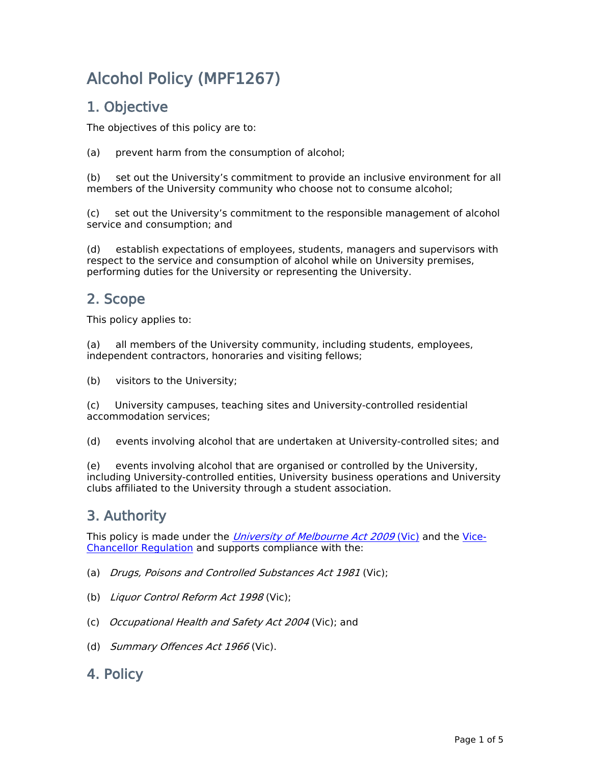# **Alcohol Policy (MPF1267)**

# **1. Objective**

The objectives of this policy are to:

(a) prevent harm from the consumption of alcohol;

(b) set out the University's commitment to provide an inclusive environment for all members of the University community who choose not to consume alcohol;

(c) set out the University's commitment to the responsible management of alcohol service and consumption; and

(d) establish expectations of employees, students, managers and supervisors with respect to the service and consumption of alcohol while on University premises, performing duties for the University or representing the University.

# **2. Scope**

This policy applies to:

(a) all members of the University community, including students, employees, independent contractors, honoraries and visiting fellows;

(b) visitors to the University;

(c) University campuses, teaching sites and University-controlled residential accommodation services;

(d) events involving alcohol that are undertaken at University-controlled sites; and

(e) events involving alcohol that are organised or controlled by the University, including University-controlled entities, University business operations and University clubs affiliated to the University through a student association.

# **3. Authority**

This policy is made under the *[University](http://www.legislation.vic.gov.au/domino/web_notes/ldms/pubstatbook.nsf/edfb620cf7503d1aca256da4001b08af/489fcdb5278f3602ca25767f00102b11/$file/09-078a.pdf) [of](http://www.legislation.vic.gov.au/domino/web_notes/ldms/pubstatbook.nsf/edfb620cf7503d1aca256da4001b08af/489fcdb5278f3602ca25767f00102b11/$file/09-078a.pdf) [Melbourne](http://www.legislation.vic.gov.au/domino/web_notes/ldms/pubstatbook.nsf/edfb620cf7503d1aca256da4001b08af/489fcdb5278f3602ca25767f00102b11/$file/09-078a.pdf) [Act](http://www.legislation.vic.gov.au/domino/web_notes/ldms/pubstatbook.nsf/edfb620cf7503d1aca256da4001b08af/489fcdb5278f3602ca25767f00102b11/$file/09-078a.pdf) [2009](http://www.legislation.vic.gov.au/domino/web_notes/ldms/pubstatbook.nsf/edfb620cf7503d1aca256da4001b08af/489fcdb5278f3602ca25767f00102b11/$file/09-078a.pdf)* [\(Vic\)](http://www.legislation.vic.gov.au/domino/web_notes/ldms/pubstatbook.nsf/edfb620cf7503d1aca256da4001b08af/489fcdb5278f3602ca25767f00102b11/$file/09-078a.pdf) and the [Vice-](https://about.unimelb.edu.au/strategy/governance/regulatory-framework/legislative-framework)[Chancellor](https://about.unimelb.edu.au/strategy/governance/regulatory-framework/legislative-framework) [Regulation](https://about.unimelb.edu.au/strategy/governance/regulatory-framework/legislative-framework) and supports compliance with the:

- (a) *Drugs, Poisons and Controlled Substances Act 1981* (Vic);
- (b) *Liquor Control Reform Act 1998* (Vic);
- (c) *Occupational Health and Safety Act 2004* (Vic); and
- (d) *Summary Offences Act 1966* (Vic).

# **4. Policy**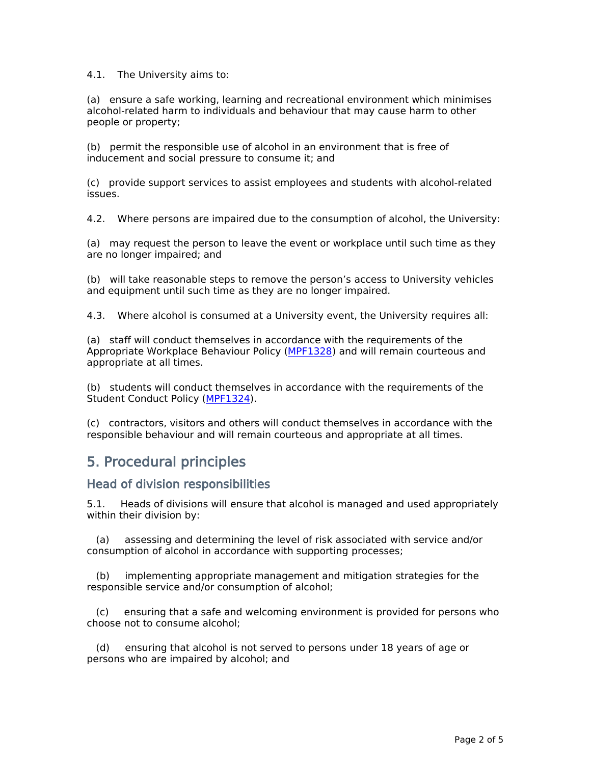4.1. The University aims to:

(a) ensure a safe working, learning and recreational environment which minimises alcohol-related harm to individuals and behaviour that may cause harm to other people or property;

(b) permit the responsible use of alcohol in an environment that is free of inducement and social pressure to consume it; and

(c) provide support services to assist employees and students with alcohol-related issues.

4.2. Where persons are impaired due to the consumption of alcohol, the University:

(a) may request the person to leave the event or workplace until such time as they are no longer impaired; and

(b) will take reasonable steps to remove the person's access to University vehicles and equipment until such time as they are no longer impaired.

4.3. Where alcohol is consumed at a University event, the University requires all:

(a) staff will conduct themselves in accordance with the requirements of the Appropriate Workplace Behaviour Policy [\(MPF1328](file:/usr/local/tomcat/MPF1328)) and will remain courteous and appropriate at all times.

(b) students will conduct themselves in accordance with the requirements of the Student Conduct Policy [\(MPF1324](file:/usr/local/tomcat/MPF1324)).

(c) contractors, visitors and others will conduct themselves in accordance with the responsible behaviour and will remain courteous and appropriate at all times.

### **5. Procedural principles**

#### **Head of division responsibilities**

5.1. Heads of divisions will ensure that alcohol is managed and used appropriately within their division by:

(a) assessing and determining the level of risk associated with service and/or consumption of alcohol in accordance with supporting processes;

(b) implementing appropriate management and mitigation strategies for the responsible service and/or consumption of alcohol;

(c) ensuring that a safe and welcoming environment is provided for persons who choose not to consume alcohol;

(d) ensuring that alcohol is not served to persons under 18 years of age or persons who are impaired by alcohol; and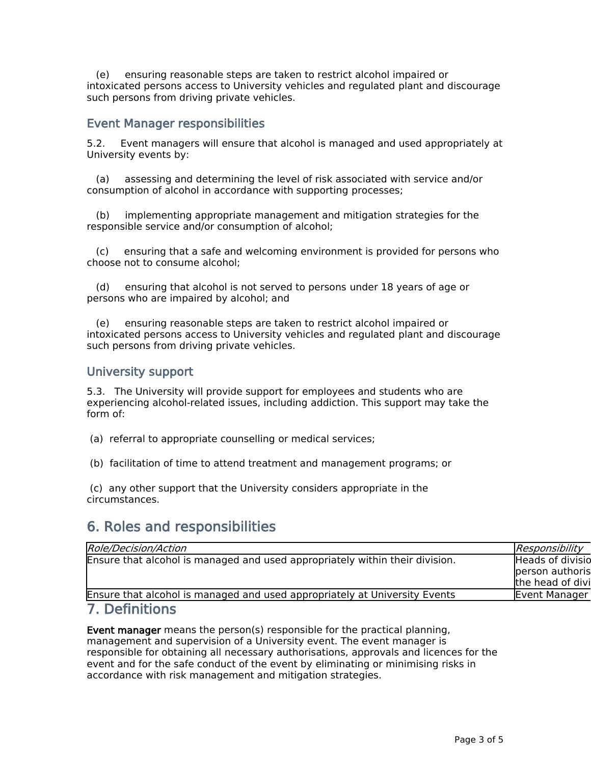(e) ensuring reasonable steps are taken to restrict alcohol impaired or intoxicated persons access to University vehicles and regulated plant and discourage such persons from driving private vehicles.

#### **Event Manager responsibilities**

5.2. Event managers will ensure that alcohol is managed and used appropriately at University events by:

(a) assessing and determining the level of risk associated with service and/or consumption of alcohol in accordance with supporting processes;

(b) implementing appropriate management and mitigation strategies for the responsible service and/or consumption of alcohol;

(c) ensuring that a safe and welcoming environment is provided for persons who choose not to consume alcohol;

(d) ensuring that alcohol is not served to persons under 18 years of age or persons who are impaired by alcohol; and

ensuring reasonable steps are taken to restrict alcohol impaired or intoxicated persons access to University vehicles and regulated plant and discourage such persons from driving private vehicles.

#### **University support**

5.3. The University will provide support for employees and students who are experiencing alcohol-related issues, including addiction. This support may take the form of:

(a) referral to appropriate counselling or medical services;

(b) facilitation of time to attend treatment and management programs; or

(c) any other support that the University considers appropriate in the circumstances.

# **6. Roles and responsibilities**

| Role/Decision/Action                                                         | Responsibility          |
|------------------------------------------------------------------------------|-------------------------|
| Ensure that alcohol is managed and used appropriately within their division. | <b>Heads of divisio</b> |
|                                                                              | person authoris         |
|                                                                              | the head of divi        |
| Ensure that alcohol is managed and used appropriately at University Events   | Event Manager           |
| $\overline{7}$ Definitions                                                   |                         |

#### **7. Definitions**

**Event manager** means the person(s) responsible for the practical planning, management and supervision of a University event. The event manager is responsible for obtaining all necessary authorisations, approvals and licences for the event and for the safe conduct of the event by eliminating or minimising risks in accordance with risk management and mitigation strategies.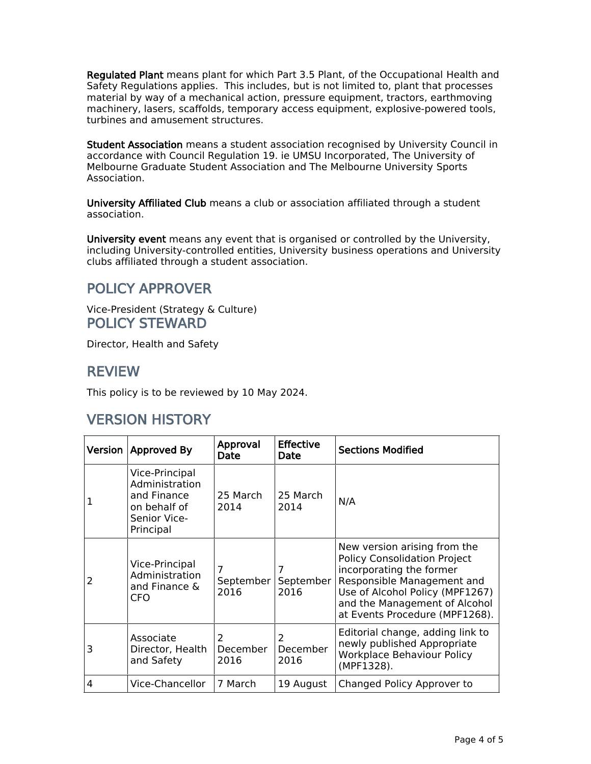**Regulated Plant** means plant for which Part 3.5 Plant, of the Occupational Health and Safety Regulations applies. This includes, but is not limited to, plant that processes material by way of a mechanical action, pressure equipment, tractors, earthmoving machinery, lasers, scaffolds, temporary access equipment, explosive-powered tools, turbines and amusement structures.

**Student Association** means a student association recognised by University Council in accordance with Council Regulation 19. ie UMSU Incorporated, The University of Melbourne Graduate Student Association and The Melbourne University Sports Association.

**University Affiliated Club** means a club or association affiliated through a student association.

**University event** means any event that is organised or controlled by the University, including University-controlled entities, University business operations and University clubs affiliated through a student association.

# **POLICY APPROVER**

Vice-President (Strategy & Culture) **POLICY STEWARD**

Director, Health and Safety

### **REVIEW**

This policy is to be reviewed by 10 May 2024.

# **VERSION HISTORY**

| Version                  | <b>Approved By</b>                                                                           | Approval<br>Date       | <b>Effective</b><br>Date           | <b>Sections Modified</b>                                                                                                                                                                                                            |
|--------------------------|----------------------------------------------------------------------------------------------|------------------------|------------------------------------|-------------------------------------------------------------------------------------------------------------------------------------------------------------------------------------------------------------------------------------|
| 1                        | Vice-Principal<br>Administration<br>and Finance<br>on behalf of<br>Senior Vice-<br>Principal | 25 March<br>2014       | 25 March<br>2014                   | N/A                                                                                                                                                                                                                                 |
| $\overline{\phantom{a}}$ | Vice-Principal<br>Administration<br>and Finance &<br><b>CFO</b>                              | 7<br>September<br>2016 | September<br>2016                  | New version arising from the<br><b>Policy Consolidation Project</b><br>incorporating the former<br>Responsible Management and<br>Use of Alcohol Policy (MPF1267)<br>and the Management of Alcohol<br>at Events Procedure (MPF1268). |
| 3                        | Associate<br>Director, Health<br>and Safety                                                  | 2<br>December<br>2016  | $\overline{2}$<br>December<br>2016 | Editorial change, adding link to<br>newly published Appropriate<br><b>Workplace Behaviour Policy</b><br>(MPF1328).                                                                                                                  |
| 4                        | Vice-Chancellor                                                                              | 7 March                | 19 August                          | Changed Policy Approver to                                                                                                                                                                                                          |